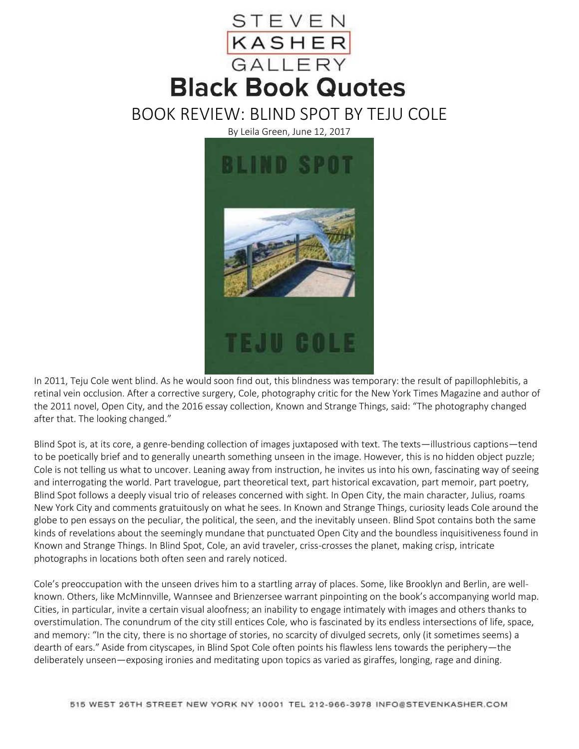

BOOK REVIEW: BLIND SPOT BY TEJU COLE

By Leila Green, June 12, 2017



In 2011, Teju Cole went blind. As he would soon find out, this blindness was temporary: the result of papillophlebitis, a retinal vein occlusion. After a corrective surgery, Cole, photography critic for the New York Times Magazine and author of the 2011 novel, Open City, and the 2016 essay collection, Known and Strange Things, said: "The photography changed after that. The looking changed."

Blind Spot is, at its core, a genre-bending collection of images juxtaposed with text. The texts—illustrious captions—tend to be poetically brief and to generally unearth something unseen in the image. However, this is no hidden object puzzle; Cole is not telling us what to uncover. Leaning away from instruction, he invites us into his own, fascinating way of seeing and interrogating the world. Part travelogue, part theoretical text, part historical excavation, part memoir, part poetry, Blind Spot follows a deeply visual trio of releases concerned with sight. In Open City, the main character, Julius, roams New York City and comments gratuitously on what he sees. In Known and Strange Things, curiosity leads Cole around the globe to pen essays on the peculiar, the political, the seen, and the inevitably unseen. Blind Spot contains both the same kinds of revelations about the seemingly mundane that punctuated Open City and the boundless inquisitiveness found in Known and Strange Things. In Blind Spot, Cole, an avid traveler, criss-crosses the planet, making crisp, intricate photographs in locations both often seen and rarely noticed.

Cole's preoccupation with the unseen drives him to a startling array of places. Some, like Brooklyn and Berlin, are wellknown. Others, like McMinnville, Wannsee and Brienzersee warrant pinpointing on the book's accompanying world map. Cities, in particular, invite a certain visual aloofness; an inability to engage intimately with images and others thanks to overstimulation. The conundrum of the city still entices Cole, who is fascinated by its endless intersections of life, space, and memory: "In the city, there is no shortage of stories, no scarcity of divulged secrets, only (it sometimes seems) a dearth of ears." Aside from cityscapes, in Blind Spot Cole often points his flawless lens towards the periphery—the deliberately unseen—exposing ironies and meditating upon topics as varied as giraffes, longing, rage and dining.